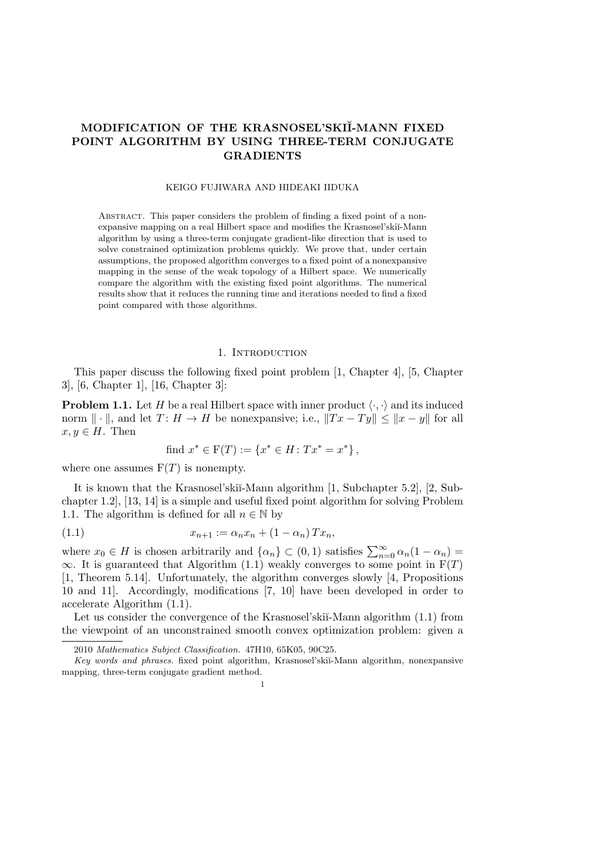# **MODIFICATION OF THE KRASNOSEL'SKI˘I-MANN FIXED POINT ALGORITHM BY USING THREE-TERM CONJUGATE GRADIENTS**

## KEIGO FUJIWARA AND HIDEAKI IIDUKA

Abstract. This paper considers the problem of finding a fixed point of a nonexpansive mapping on a real Hilbert space and modifies the Krasnosel'skiĭ-Mann algorithm by using a three-term conjugate gradient-like direction that is used to solve constrained optimization problems quickly. We prove that, under certain assumptions, the proposed algorithm converges to a fixed point of a nonexpansive mapping in the sense of the weak topology of a Hilbert space. We numerically compare the algorithm with the existing fixed point algorithms. The numerical results show that it reduces the running time and iterations needed to find a fixed point compared with those algorithms.

## 1. INTRODUCTION

This paper discuss the following fixed point problem [1, Chapter 4], [5, Chapter 3], [6, Chapter 1], [16, Chapter 3]:

**Problem 1.1.** Let *H* be a real Hilbert space with inner product  $\langle \cdot, \cdot \rangle$  and its induced norm  $\|\cdot\|$ , and let  $T: H \to H$  be nonexpansive; i.e.,  $\|Tx - Ty\| \le \|x - y\|$  for all  $x, y \in H$ . Then

find 
$$
x^* \in F(T) := \{x^* \in H : Tx^* = x^*\},
$$

where one assumes  $F(T)$  is nonempty.

It is known that the Krasnosel'ski˘ı-Mann algorithm [1, Subchapter 5.2], [2, Subchapter 1.2], [13, 14] is a simple and useful fixed point algorithm for solving Problem 1.1. The algorithm is defined for all  $n \in \mathbb{N}$  by

(1.1) 
$$
x_{n+1} := \alpha_n x_n + (1 - \alpha_n) T x_n,
$$

where  $x_0 \in H$  is chosen arbitrarily and  $\{\alpha_n\} \subset (0,1)$  satisfies  $\sum_{n=0}^{\infty} \alpha_n (1 - \alpha_n) =$  $\infty$ . It is guaranteed that Algorithm (1.1) weakly converges to some point in F(*T*) [1, Theorem 5.14]. Unfortunately, the algorithm converges slowly [4, Propositions 10 and 11]. Accordingly, modifications [7, 10] have been developed in order to accelerate Algorithm (1.1).

Let us consider the convergence of the Krasnosel'skiı̆-Mann algorithm  $(1.1)$  from the viewpoint of an unconstrained smooth convex optimization problem: given a

1

<sup>2010</sup> *Mathematics Subject Classification.* 47H10, 65K05, 90C25.

*Key words and phrases.* fixed point algorithm, Krasnosel'ski˘ı-Mann algorithm, nonexpansive mapping, three-term conjugate gradient method.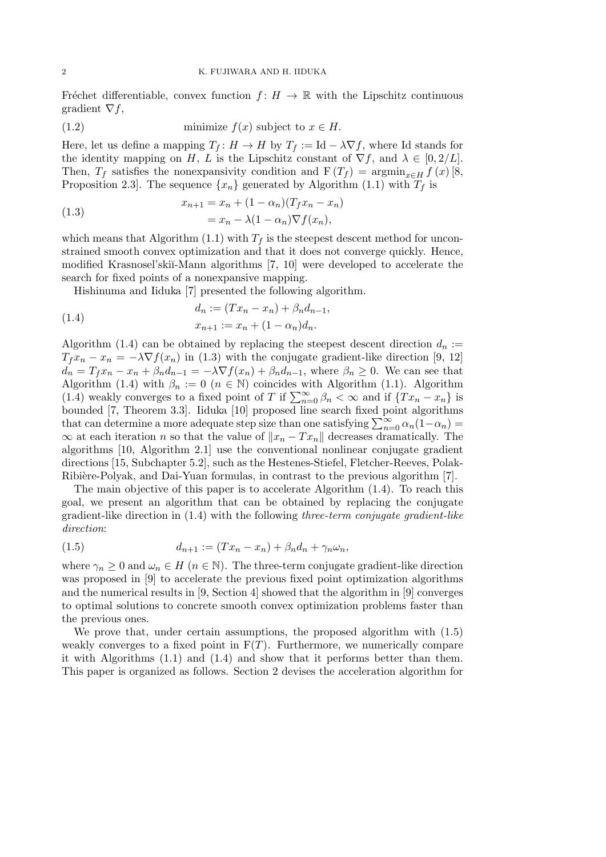Fréchet differentiable, convex function  $f: H \to \mathbb{R}$  with the Lipschitz continuous gradient *∇f*,

(1.2) minimize 
$$
f(x)
$$
 subject to  $x \in H$ .

Here, let us define a mapping  $T_f: H \to H$  by  $T_f := \text{Id} - \lambda \nabla f$ , where Id stands for the identity mapping on *H*, *L* is the Lipschitz constant of  $\nabla f$ , and  $\lambda \in [0, 2/L]$ . Then,  $T_f$  satisfies the nonexpansivity condition and  $F(T_f) = \operatorname{argmin}_{x \in H} f(x)$  [8, Proposition 2.3. The sequence  $\{x_n\}$  generated by Algorithm (1.1) with  $T_f$  is

(1.3) 
$$
x_{n+1} = x_n + (1 - \alpha_n)(T_f x_n - x_n) = x_n - \lambda (1 - \alpha_n) \nabla f(x_n),
$$

which means that Algorithm (1.1) with  $T_f$  is the steepest descent method for unconstrained smooth convex optimization and that it does not converge quickly. Hence, modified Krasnosel'ski˘ı-Mann algorithms [7, 10] were developed to accelerate the search for fixed points of a nonexpansive mapping.

Hishinuma and Iiduka [7] presented the following algorithm.

(1.4) 
$$
d_n := (Tx_n - x_n) + \beta_n d_{n-1},
$$

$$
x_{n+1} := x_n + (1 - \alpha_n) d_n.
$$

Algorithm (1.4) can be obtained by replacing the steepest descent direction  $d_n$ :=  $T_f x_n - x_n = -\lambda \nabla f(x_n)$  in (1.3) with the conjugate gradient-like direction [9, 12]  $d_n = T_f x_n - x_n + \beta_n d_{n-1} = -\lambda \nabla f(x_n) + \beta_n d_{n-1}$ , where  $\beta_n \geq 0$ . We can see that Algorithm (1.4) with  $\beta_n := 0$  ( $n \in \mathbb{N}$ ) coincides with Algorithm (1.1). Algorithm (1.4) weakly converges to a fixed point of *T* if  $\sum_{n=0}^{\infty} \beta_n < \infty$  and if  $\{Tx_n - x_n\}$  is bounded [7, Theorem 3.3]. Iiduka [10] proposed line search fixed point algorithms that can determine a more adequate step size than one satisfying  $\sum_{n=0}^{\infty} \alpha_n (1-\alpha_n)$ *∞* at each iteration *n* so that the value of *∥x<sup>n</sup> − T xn∥* decreases dramatically. The algorithms [10, Algorithm 2.1] use the conventional nonlinear conjugate gradient directions [15, Subchapter 5.2], such as the Hestenes-Stiefel, Fletcher-Reeves, Polak-Ribière-Polyak, and Dai-Yuan formulas, in contrast to the previous algorithm [7].

The main objective of this paper is to accelerate Algorithm (1.4). To reach this goal, we present an algorithm that can be obtained by replacing the conjugate gradient-like direction in (1.4) with the following *three-term conjugate gradient-like direction*:

$$
(1.5) \t\t d_{n+1} := (Tx_n - x_n) + \beta_n d_n + \gamma_n \omega_n,
$$

where  $\gamma_n \geq 0$  and  $\omega_n \in H$  ( $n \in \mathbb{N}$ ). The three-term conjugate gradient-like direction was proposed in [9] to accelerate the previous fixed point optimization algorithms and the numerical results in [9, Section 4] showed that the algorithm in [9] converges to optimal solutions to concrete smooth convex optimization problems faster than the previous ones.

We prove that, under certain assumptions, the proposed algorithm with (1.5) weakly converges to a fixed point in  $F(T)$ . Furthermore, we numerically compare it with Algorithms (1.1) and (1.4) and show that it performs better than them. This paper is organized as follows. Section 2 devises the acceleration algorithm for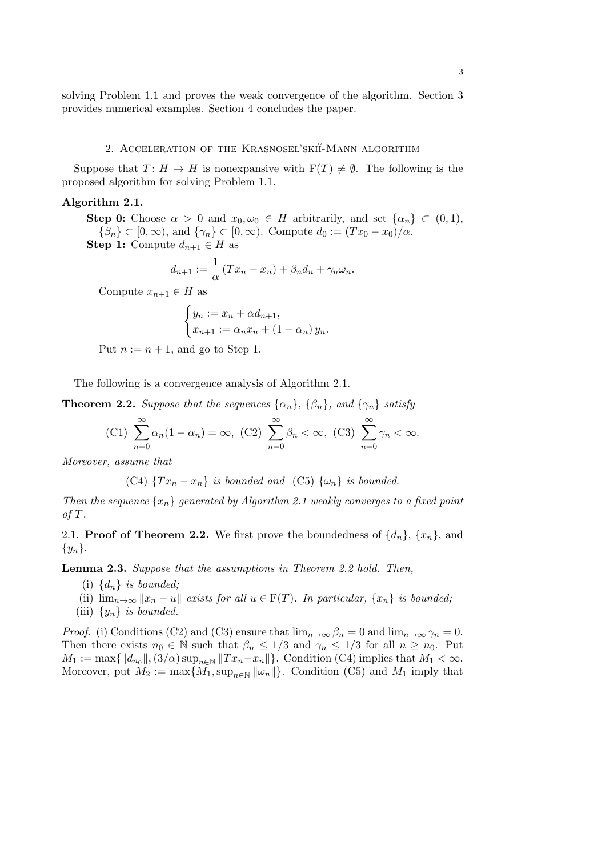solving Problem 1.1 and proves the weak convergence of the algorithm. Section 3 provides numerical examples. Section 4 concludes the paper.

#### 2. ACCELERATION OF THE KRASNOSEL'SKII-MANN ALGORITHM

Suppose that  $T: H \to H$  is nonexpansive with  $F(T) \neq \emptyset$ . The following is the proposed algorithm for solving Problem 1.1.

#### **Algorithm 2.1.**

**Step 0:** Choose  $\alpha > 0$  and  $x_0, \omega_0 \in H$  arbitrarily, and set  $\{\alpha_n\} \subset (0,1)$ ,  $\{\beta_n\} \subset [0, \infty)$ , and  $\{\gamma_n\} \subset [0, \infty)$ . Compute  $d_0 := (Tx_0 - x_0)/\alpha$ .

**Step 1:** Compute  $d_{n+1} \in H$  as

$$
d_{n+1} := \frac{1}{\alpha} \left( Tx_n - x_n \right) + \beta_n d_n + \gamma_n \omega_n.
$$

Compute  $x_{n+1} \in H$  as

$$
\begin{cases} y_n := x_n + \alpha d_{n+1}, \\ x_{n+1} := \alpha_n x_n + (1 - \alpha_n) y_n. \end{cases}
$$

Put  $n := n + 1$ , and go to Step 1.

The following is a convergence analysis of Algorithm 2.1.

**Theorem 2.2.** *Suppose that the sequences*  $\{\alpha_n\}$ ,  $\{\beta_n\}$ *, and*  $\{\gamma_n\}$  *satisfy* 

$$
(C1)\sum_{n=0}^{\infty} \alpha_n (1 - \alpha_n) = \infty, (C2)\sum_{n=0}^{\infty} \beta_n < \infty, (C3)\sum_{n=0}^{\infty} \gamma_n < \infty.
$$

*Moreover, assume that*

(C4)  $\{Tx_n - x_n\}$  *is bounded and* (C5)  $\{\omega_n\}$  *is bounded.* 

*Then the sequence*  $\{x_n\}$  *generated by Algorithm 2.1 weakly converges to a fixed point of T.*

2.1. **Proof of Theorem 2.2.** We first prove the boundedness of  $\{d_n\}$ ,  $\{x_n\}$ , and *{yn}*.

**Lemma 2.3.** *Suppose that the assumptions in Theorem 2.2 hold. Then,*

- (i)  $\{d_n\}$  *is bounded*;
- (ii)  $\lim_{n\to\infty} ||x_n u||$  *exists for all*  $u \in F(T)$ *. In particular,*  $\{x_n\}$  *is bounded;*
- (iii)  $\{y_n\}$  *is bounded.*

*Proof.* (i) Conditions (C2) and (C3) ensure that  $\lim_{n\to\infty} \beta_n = 0$  and  $\lim_{n\to\infty} \gamma_n = 0$ . Then there exists  $n_0 \in \mathbb{N}$  such that  $\beta_n \leq 1/3$  and  $\gamma_n \leq 1/3$  for all  $n \geq n_0$ . Put  $M_1 := \max\{\|d_{n_0}\|, (3/\alpha) \sup_{n \in \mathbb{N}} \|Tx_n - x_n\|\}.$  Condition (C4) implies that  $M_1 < \infty$ . Moreover, put  $M_2 := \max\{M_1, \sup_{n \in \mathbb{N}} ||\omega_n||\}$ . Condition (C5) and  $M_1$  imply that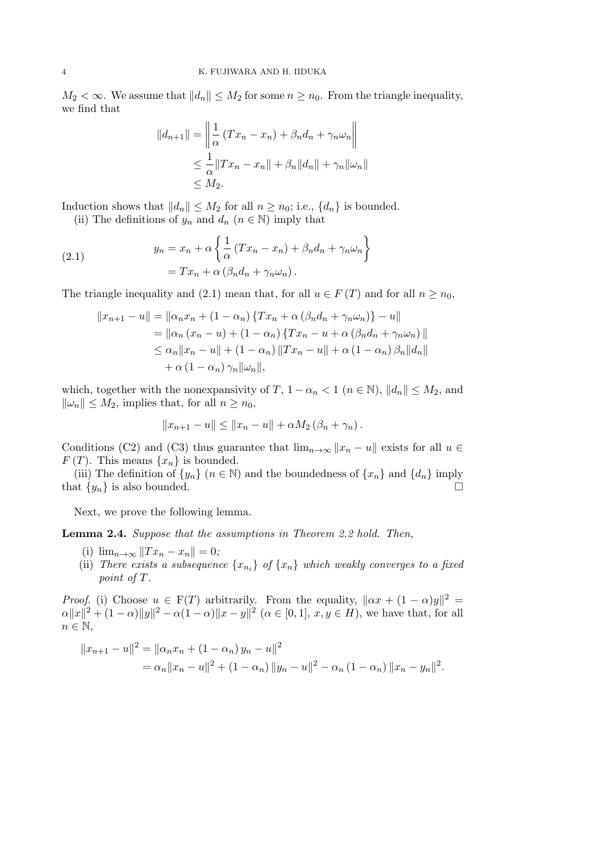*M*<sub>2</sub>  $\lt \infty$ . We assume that  $||d_n|| \leq M_2$  for some *n* ≥ *n*<sub>0</sub>. From the triangle inequality, we find that

$$
||d_{n+1}|| = \left\| \frac{1}{\alpha} (Tx_n - x_n) + \beta_n d_n + \gamma_n \omega_n \right\|
$$
  
\n
$$
\leq \frac{1}{\alpha} ||Tx_n - x_n|| + \beta_n ||d_n|| + \gamma_n ||\omega_n||
$$
  
\n
$$
\leq M_2.
$$

Induction shows that  $||d_n|| \leq M_2$  for all  $n \geq n_0$ ; i.e.,  $\{d_n\}$  is bounded.

(ii) The definitions of  $y_n$  and  $d_n$  ( $n \in \mathbb{N}$ ) imply that

 $\ddot{\phantom{a}}$ 

(2.1) 
$$
y_n = x_n + \alpha \left\{ \frac{1}{\alpha} (Tx_n - x_n) + \beta_n d_n + \gamma_n \omega_n \right\}
$$

$$
= Tx_n + \alpha (\beta_n d_n + \gamma_n \omega_n).
$$

The triangle inequality and (2.1) mean that, for all  $u \in F(T)$  and for all  $n \geq n_0$ ,

$$
||x_{n+1} - u|| = ||\alpha_n x_n + (1 - \alpha_n) \{ Tx_n + \alpha (\beta_n d_n + \gamma_n \omega_n) \} - u||
$$
  
=  $||\alpha_n (x_n - u) + (1 - \alpha_n) \{ Tx_n - u + \alpha (\beta_n d_n + \gamma_n \omega_n) \|$   
 $\leq \alpha_n ||x_n - u|| + (1 - \alpha_n) ||Tx_n - u|| + \alpha (1 - \alpha_n) \beta_n ||d_n||$   
+  $\alpha (1 - \alpha_n) \gamma_n ||\omega_n||,$ 

which, together with the nonexpansivity of *T*,  $1 - \alpha_n < 1$  ( $n \in \mathbb{N}$ ),  $||d_n|| \leq M_2$ , and  $\|\omega_n\|$  ≤ *M*<sub>2</sub>, implies that, for all *n* ≥ *n*<sub>0</sub>,

$$
||x_{n+1} - u|| \le ||x_n - u|| + \alpha M_2 (\beta_n + \gamma_n).
$$

Conditions (C2) and (C3) thus guarantee that  $\lim_{n\to\infty} ||x_n - u||$  exists for all  $u \in$  $F(T)$ . This means  $\{x_n\}$  is bounded.

(iii) The definition of  $\{y_n\}$  ( $n \in \mathbb{N}$ ) and the boundedness of  $\{x_n\}$  and  $\{d_n\}$  imply that  $\{y_n\}$  is also bounded.  $\Box$ 

Next, we prove the following lemma.

**Lemma 2.4.** *Suppose that the assumptions in Theorem 2.2 hold. Then,*

- (i)  $\lim_{n\to\infty} ||Tx_n x_n|| = 0;$
- (ii) *There exists a subsequence*  $\{x_{n_i}\}\$  *of*  $\{x_n\}$  *which weakly converges to a fixed point of*  $T$ *.*

*Proof.* (i) Choose  $u \in F(T)$  arbitrarily. From the equality,  $||\alpha x + (1 - \alpha)y||^2 =$  $\alpha ||x||^2 + (1-\alpha) ||y||^2 - \alpha(1-\alpha) ||x-y||^2$   $(\alpha \in [0,1], x, y \in H)$ , we have that, for all *n* ∈ N,

$$
||x_{n+1} - u||^2 = ||\alpha_n x_n + (1 - \alpha_n) y_n - u||^2
$$
  
=  $\alpha_n ||x_n - u||^2 + (1 - \alpha_n) ||y_n - u||^2 - \alpha_n (1 - \alpha_n) ||x_n - y_n||^2$ .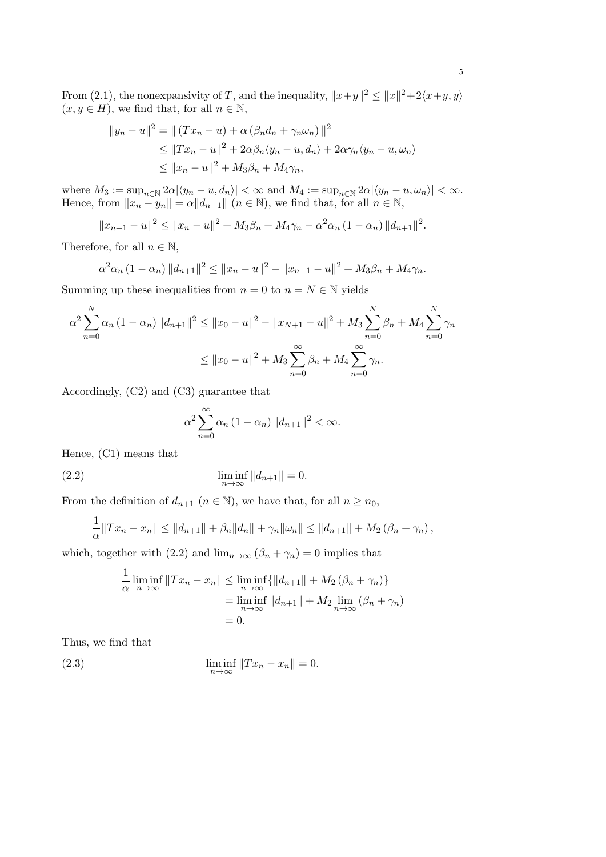From (2.1), the nonexpansivity of *T*, and the inequality,  $||x+y||^2 \le ||x||^2 + 2\langle x+y, y \rangle$  $(x, y \in H)$ , we find that, for all  $n \in \mathbb{N}$ ,

$$
||y_n - u||^2 = || (Tx_n - u) + \alpha (\beta_n d_n + \gamma_n \omega_n) ||^2
$$
  
\n
$$
\leq ||Tx_n - u||^2 + 2\alpha \beta_n \langle y_n - u, d_n \rangle + 2\alpha \gamma_n \langle y_n - u, \omega_n \rangle
$$
  
\n
$$
\leq ||x_n - u||^2 + M_3 \beta_n + M_4 \gamma_n,
$$

where  $M_3 := \sup_{n \in \mathbb{N}} 2\alpha |\langle y_n - u, d_n \rangle| < \infty$  and  $M_4 := \sup_{n \in \mathbb{N}} 2\alpha |\langle y_n - u, \omega_n \rangle| < \infty$ . Hence, from  $||x_n - y_n|| = \alpha ||d_{n+1}||$  ( $n \in \mathbb{N}$ ), we find that, for all  $n \in \mathbb{N}$ ,

$$
||x_{n+1} - u||^2 \le ||x_n - u||^2 + M_3\beta_n + M_4\gamma_n - \alpha^2\alpha_n (1 - \alpha_n) ||d_{n+1}||^2.
$$

Therefore, for all  $n \in \mathbb{N}$ ,

$$
\alpha^2 \alpha_n (1 - \alpha_n) \|d_{n+1}\|^2 \le \|x_n - u\|^2 - \|x_{n+1} - u\|^2 + M_3 \beta_n + M_4 \gamma_n.
$$

Summing up these inequalities from  $n = 0$  to  $n = N \in \mathbb{N}$  yields

$$
\alpha^2 \sum_{n=0}^{N} \alpha_n (1 - \alpha_n) \|d_{n+1}\|^2 \le \|x_0 - u\|^2 - \|x_{N+1} - u\|^2 + M_3 \sum_{n=0}^{N} \beta_n + M_4 \sum_{n=0}^{N} \gamma_n
$$
  

$$
\le \|x_0 - u\|^2 + M_3 \sum_{n=0}^{\infty} \beta_n + M_4 \sum_{n=0}^{\infty} \gamma_n.
$$

Accordingly, (C2) and (C3) guarantee that

$$
\alpha^2 \sum_{n=0}^{\infty} \alpha_n (1 - \alpha_n) ||d_{n+1}||^2 < \infty.
$$

Hence, (C1) means that

(2.2) 
$$
\liminf_{n \to \infty} ||d_{n+1}|| = 0.
$$

From the definition of  $d_{n+1}$   $(n \in \mathbb{N})$ , we have that, for all  $n \geq n_0$ ,

$$
\frac{1}{\alpha}||Tx_n - x_n|| \le ||d_{n+1}|| + \beta_n ||d_n|| + \gamma_n ||\omega_n|| \le ||d_{n+1}|| + M_2 (\beta_n + \gamma_n),
$$

which, together with (2.2) and  $\lim_{n\to\infty} (\beta_n + \gamma_n) = 0$  implies that

$$
\frac{1}{\alpha} \liminf_{n \to \infty} ||Tx_n - x_n|| \le \liminf_{n \to \infty} \{ ||d_{n+1}|| + M_2 (\beta_n + \gamma_n) \}
$$
  
=  $\liminf_{n \to \infty} ||d_{n+1}|| + M_2 \lim_{n \to \infty} (\beta_n + \gamma_n)$   
= 0.

Thus, we find that

(2.3) 
$$
\liminf_{n \to \infty} ||Tx_n - x_n|| = 0.
$$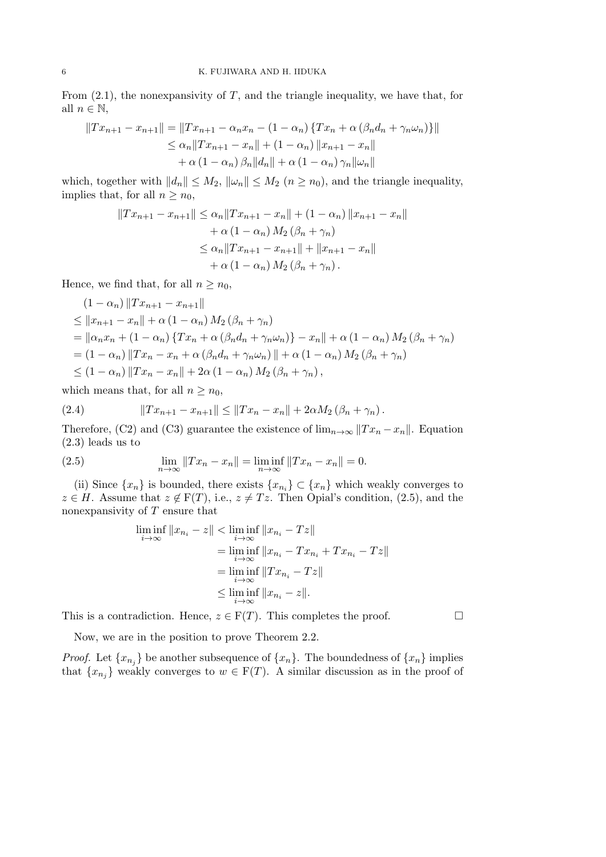From (2.1), the nonexpansivity of *T*, and the triangle inequality, we have that, for all  $n \in \mathbb{N}$ ,

$$
||Tx_{n+1} - x_{n+1}|| = ||Tx_{n+1} - \alpha_n x_n - (1 - \alpha_n) \{Tx_n + \alpha (\beta_n d_n + \gamma_n \omega_n)\}||
$$
  
\n
$$
\leq \alpha_n ||Tx_{n+1} - x_n|| + (1 - \alpha_n) ||x_{n+1} - x_n||
$$
  
\n
$$
+ \alpha (1 - \alpha_n) \beta_n ||d_n|| + \alpha (1 - \alpha_n) \gamma_n ||\omega_n||
$$

which, together with  $||d_n|| \leq M_2$ ,  $||\omega_n|| \leq M_2$   $(n \geq n_0)$ , and the triangle inequality, implies that, for all  $n \geq n_0$ ,

$$
||Tx_{n+1} - x_{n+1}|| \le \alpha_n ||Tx_{n+1} - x_n|| + (1 - \alpha_n) ||x_{n+1} - x_n||
$$
  
+  $\alpha (1 - \alpha_n) M_2 (\beta_n + \gamma_n)$   
 $\le \alpha_n ||Tx_{n+1} - x_{n+1}|| + ||x_{n+1} - x_n||$   
+  $\alpha (1 - \alpha_n) M_2 (\beta_n + \gamma_n).$ 

Hence, we find that, for all  $n \geq n_0$ ,

$$
(1 - \alpha_n) \|Tx_{n+1} - x_{n+1}\|
$$
  
\n
$$
\leq \|x_{n+1} - x_n\| + \alpha (1 - \alpha_n) M_2 (\beta_n + \gamma_n)
$$
  
\n
$$
= \| \alpha_n x_n + (1 - \alpha_n) \{Tx_n + \alpha (\beta_n d_n + \gamma_n \omega_n) \} - x_n \| + \alpha (1 - \alpha_n) M_2 (\beta_n + \gamma_n)
$$
  
\n
$$
= (1 - \alpha_n) \|Tx_n - x_n + \alpha (\beta_n d_n + \gamma_n \omega_n) \| + \alpha (1 - \alpha_n) M_2 (\beta_n + \gamma_n)
$$
  
\n
$$
\leq (1 - \alpha_n) \|Tx_n - x_n \| + 2\alpha (1 - \alpha_n) M_2 (\beta_n + \gamma_n),
$$

which means that, for all  $n \geq n_0$ ,

(2.4) 
$$
||Tx_{n+1} - x_{n+1}|| \le ||Tx_n - x_n|| + 2\alpha M_2 (\beta_n + \gamma_n).
$$

Therefore, (C2) and (C3) guarantee the existence of  $\lim_{n\to\infty} ||Tx_n - x_n||$ . Equation (2.3) leads us to

(2.5) 
$$
\lim_{n \to \infty} ||Tx_n - x_n|| = \liminf_{n \to \infty} ||Tx_n - x_n|| = 0.
$$

(ii) Since  $\{x_n\}$  is bounded, there exists  $\{x_{n_i}\} \subset \{x_n\}$  which weakly converges to *z* ∈ *H*. Assume that  $z \notin F(T)$ , i.e.,  $z \neq Tz$ . Then Opial's condition, (2.5), and the nonexpansivity of *T* ensure that

$$
\liminf_{i \to \infty} ||x_{n_i} - z|| < \liminf_{i \to \infty} ||x_{n_i} - Tz||
$$
\n
$$
= \liminf_{i \to \infty} ||x_{n_i} - Tx_{n_i} + Tx_{n_i} - Tz||
$$
\n
$$
= \liminf_{i \to \infty} ||Tx_{n_i} - Tz||
$$
\n
$$
\leq \liminf_{i \to \infty} ||x_{n_i} - z||.
$$

This is a contradiction. Hence,  $z \in F(T)$ . This completes the proof.  $\Box$ 

Now, we are in the position to prove Theorem 2.2.

*Proof.* Let  $\{x_{n_j}\}$  be another subsequence of  $\{x_n\}$ . The boundedness of  $\{x_n\}$  implies that  $\{x_{n_j}\}$  weakly converges to  $w \in F(T)$ . A similar discussion as in the proof of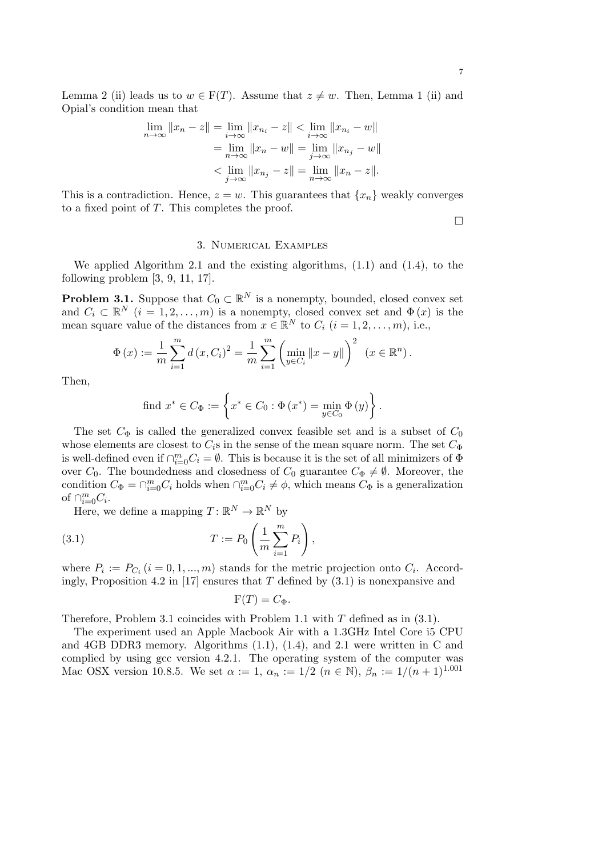Lemma 2 (ii) leads us to  $w \in F(T)$ . Assume that  $z \neq w$ . Then, Lemma 1 (ii) and Opial's condition mean that

$$
\lim_{n \to \infty} ||x_n - z|| = \lim_{i \to \infty} ||x_{n_i} - z|| < \lim_{i \to \infty} ||x_{n_i} - w||
$$
  
= 
$$
\lim_{n \to \infty} ||x_n - w|| = \lim_{j \to \infty} ||x_{n_j} - w||
$$
  
< 
$$
< \lim_{j \to \infty} ||x_{n_j} - z|| = \lim_{n \to \infty} ||x_n - z||.
$$

This is a contradiction. Hence,  $z = w$ . This guarantees that  $\{x_n\}$  weakly converges to a fixed point of *T*. This completes the proof.

□

# 3. Numerical Examples

We applied Algorithm 2.1 and the existing algorithms,  $(1.1)$  and  $(1.4)$ , to the following problem [3, 9, 11, 17].

**Problem 3.1.** Suppose that  $C_0 \subset \mathbb{R}^N$  is a nonempty, bounded, closed convex set and  $C_i \subset \mathbb{R}^N$   $(i = 1, 2, \ldots, m)$  is a nonempty, closed convex set and  $\Phi(x)$  is the mean square value of the distances from  $x \in \mathbb{R}^N$  to  $C_i$   $(i = 1, 2, \ldots, m)$ , i.e.,

$$
\Phi(x) := \frac{1}{m} \sum_{i=1}^{m} d(x, C_i)^2 = \frac{1}{m} \sum_{i=1}^{m} \left( \min_{y \in C_i} ||x - y|| \right)^2 \ (x \in \mathbb{R}^n).
$$

Then,

find 
$$
x^* \in C_{\Phi} := \left\{ x^* \in C_0 : \Phi(x^*) = \min_{y \in C_0} \Phi(y) \right\}.
$$

The set  $C_{\Phi}$  is called the generalized convex feasible set and is a subset of  $C_0$ whose elements are closest to  $C_i$ s in the sense of the mean square norm. The set  $C_{\Phi}$ is well-defined even if  $\bigcap_{i=0}^{m} C_i = \emptyset$ . This is because it is the set of all minimizers of  $\Phi$ over  $C_0$ . The boundedness and closedness of  $C_0$  guarantee  $C_{\Phi} \neq \emptyset$ . Moreover, the condition  $C_{\Phi} = \bigcap_{i=0}^{m} C_i$  holds when  $\bigcap_{i=0}^{m} C_i \neq \phi$ , which means  $C_{\Phi}$  is a generalization of  $\bigcap_{i=0}^m C_i$ .

Here, we define a mapping  $T: \mathbb{R}^N \to \mathbb{R}^N$  by

(3.1) 
$$
T := P_0 \left( \frac{1}{m} \sum_{i=1}^m P_i \right),
$$

where  $P_i := P_{C_i}$  ( $i = 0, 1, ..., m$ ) stands for the metric projection onto  $C_i$ . Accordingly, Proposition 4.2 in [17] ensures that *T* defined by (3.1) is nonexpansive and

$$
F(T) = C_{\Phi}.
$$

Therefore, Problem 3.1 coincides with Problem 1.1 with *T* defined as in (3.1).

The experiment used an Apple Macbook Air with a 1.3GHz Intel Core i5 CPU and 4GB DDR3 memory. Algorithms (1.1), (1.4), and 2.1 were written in C and complied by using gcc version 4.2.1. The operating system of the computer was Mac OSX version 10.8.5. We set  $\alpha := 1$ ,  $\alpha_n := 1/2$  ( $n \in \mathbb{N}$ ),  $\beta_n := 1/(n+1)^{1.001}$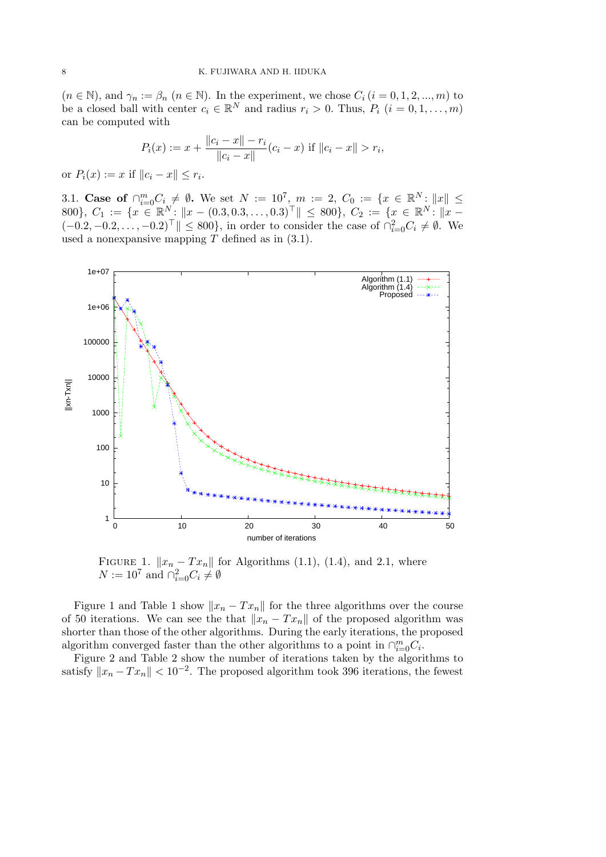$(n \in \mathbb{N})$ , and  $\gamma_n := \beta_n$   $(n \in \mathbb{N})$ . In the experiment, we chose  $C_i$   $(i = 0, 1, 2, ..., m)$  to be a closed ball with center  $c_i \in \mathbb{R}^N$  and radius  $r_i > 0$ . Thus,  $P_i$   $(i = 0, 1, \ldots, m)$ can be computed with

$$
P_i(x) := x + \frac{\|c_i - x\| - r_i}{\|c_i - x\|} (c_i - x) \text{ if } \|c_i - x\| > r_i,
$$

or  $P_i(x) := x$  if  $||c_i - x|| \leq r_i$ .

3.1. **Case of**  $\bigcap_{i=0}^{m} C_i \neq \emptyset$ . We set  $N := 10^7$ ,  $m := 2$ ,  $C_0 := \{x \in \mathbb{R}^N : ||x|| \leq$ 800},  $C_1 := \{x \in \mathbb{R}^N : ||x - (0.3, 0.3, \dots, 0.3)^{\top}|| \le 800\}, C_2 := \{x \in \mathbb{R}^N : ||x - (0.3, 0.3, \dots, 0.3)^{\top}||\}$  $(-0.2, -0.2, \ldots, -0.2)$ <sup>T</sup>  $\|$  ≤ 800}, in order to consider the case of  $\cap_{i=0}^{2} C_i \neq \emptyset$ . We used a nonexpansive mapping *T* defined as in (3.1).



FIGURE 1.  $||x_n - Tx_n||$  for Algorithms (1.1), (1.4), and 2.1, where  $N := 10^7$  and  $\bigcap_{i=0}^2 C_i \neq \emptyset$ 

Figure 1 and Table 1 show  $||x_n - Tx_n||$  for the three algorithms over the course of 50 iterations. We can see the that  $||x_n - Tx_n||$  of the proposed algorithm was shorter than those of the other algorithms. During the early iterations, the proposed algorithm converged faster than the other algorithms to a point in  $\bigcap_{i=0}^{m} C_i$ .

Figure 2 and Table 2 show the number of iterations taken by the algorithms to satisfy  $||x_n - Tx_n|| < 10^{-2}$ . The proposed algorithm took 396 iterations, the fewest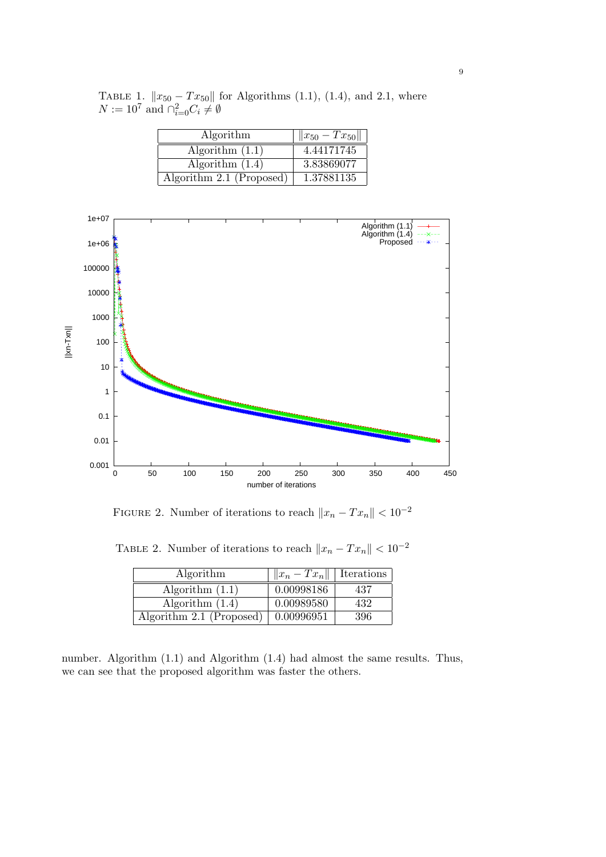| Algorithm                | $  x_{50} - Tx_{50}  $ |
|--------------------------|------------------------|
| Algorithm $(1.1)$        | 4.44171745             |
| Algorithm $(1.4)$        | 3.83869077             |
| Algorithm 2.1 (Proposed) | 1.37881135             |

TABLE 1.  $||x_{50} - Tx_{50}||$  for Algorithms (1.1), (1.4), and 2.1, where  $N := 10^7$  and  $\bigcap_{i=0}^2 C_i \neq \emptyset$ 



FIGURE 2. Number of iterations to reach  $||x_n - Tx_n|| < 10^{-2}$ 

TABLE 2. Number of iterations to reach  $||x_n - Tx_n|| < 10^{-2}$ 

| Algorithm                | $  x_n - Tx_n  $   Iterations |     |
|--------------------------|-------------------------------|-----|
| Algorithm $(1.1)$        | 0.00998186                    | 437 |
| Algorithm $(1.4)$        | 0.00989580                    | 432 |
| Algorithm 2.1 (Proposed) | 0.00996951                    | 396 |

number. Algorithm (1.1) and Algorithm (1.4) had almost the same results. Thus, we can see that the proposed algorithm was faster the others.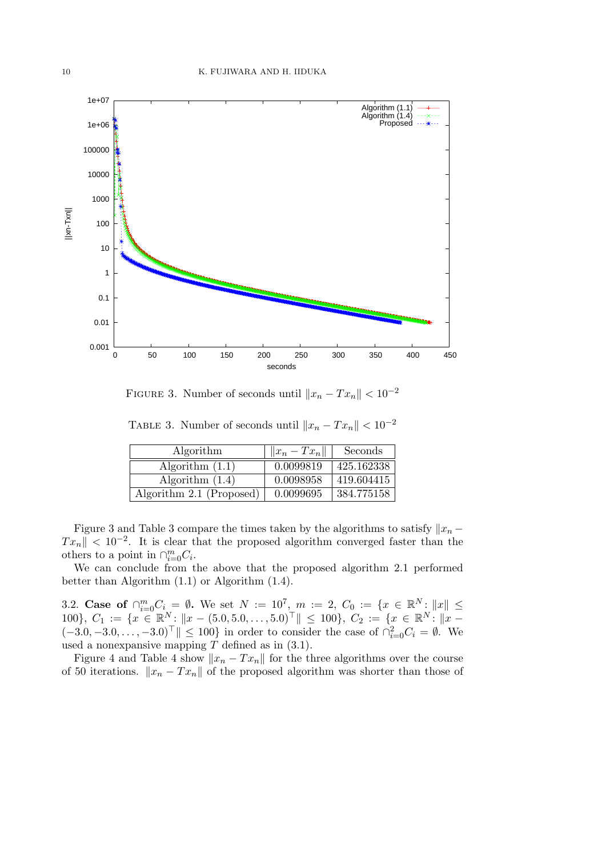

FIGURE 3. Number of seconds until  $||x_n - Tx_n|| < 10^{-2}$ 

| Algorithm         | $  x_n-Tx_n  $ | Seconds    |
|-------------------|----------------|------------|
| Algorithm $(1.1)$ | 0.0099819      | 425.162338 |
| Algorithm $(1.4)$ | 0.0098958      | 419.604415 |

Algorithm 2.1 (Proposed)  $\vert$  0.0099695  $\vert$  384.775158

TABLE 3. Number of seconds until  $||x_n - Tx_n|| < 10^{-2}$ 

Figure 3 and Table 3 compare the times taken by the algorithms to satisfy  $||x_n -$ *T xn∥ <* 10*−*<sup>2</sup> . It is clear that the proposed algorithm converged faster than the others to a point in  $\cap_{i=0}^m C_i$ .

We can conclude from the above that the proposed algorithm 2.1 performed better than Algorithm (1.1) or Algorithm (1.4).

3.2. **Case of**  $\bigcap_{i=0}^{m} C_i = \emptyset$ . We set  $N := 10^7$ ,  $m := 2$ ,  $C_0 := \{x \in \mathbb{R}^N : ||x|| \leq$ 100},  $C_1 := \{x \in \mathbb{R}^N : ||x - (5.0, 5.0, \dots, 5.0)^\top|| \le 100\}, C_2 := \{x \in \mathbb{R}^N : ||x - (5.0, 5.0, \dots, 5.0)^\top|| \le 100\}$  $(-3.0, -3.0, \ldots, -3.0)$ <sup>T</sup>  $\|$  ≤ 100} in order to consider the case of  $\cap_{i=0}^{2} C_i = \emptyset$ . We used a nonexpansive mapping *T* defined as in (3.1).

Figure 4 and Table 4 show  $||x_n - Tx_n||$  for the three algorithms over the course of 50 iterations.  $||x_n - Tx_n||$  of the proposed algorithm was shorter than those of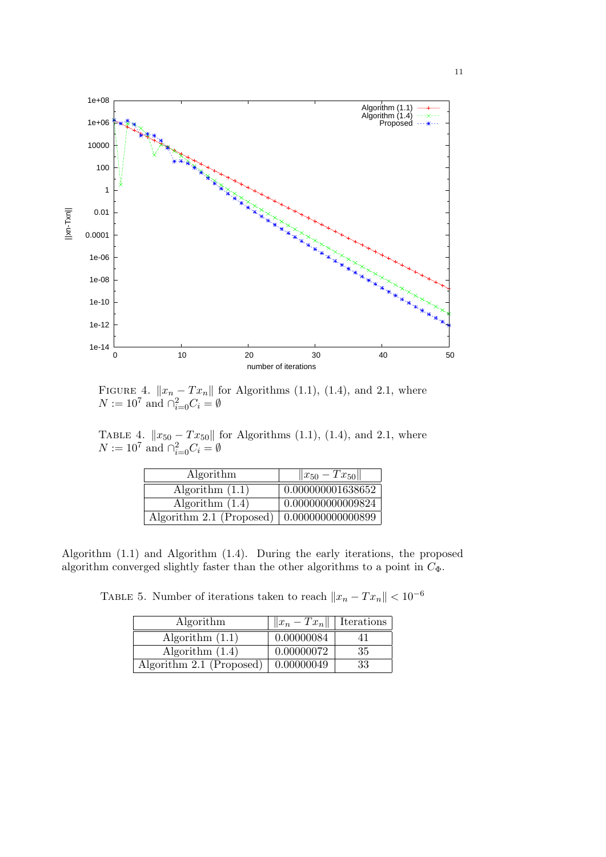

FIGURE 4.  $||x_n - Tx_n||$  for Algorithms (1.1), (1.4), and 2.1, where  $N := 10^7$  and  $\bigcap_{i=0}^2 C_i = \emptyset$ 

TABLE 4.  $||x_{50} - Tx_{50}||$  for Algorithms (1.1), (1.4), and 2.1, where  $N := 10^7$  and  $\bigcap_{i=0}^2 C_i = \emptyset$ 

| Algorithm                | $  x_{50} - Tx_{50}  $   |
|--------------------------|--------------------------|
| Algorithm $(1.1)$        | 0.000000001638652        |
| Algorithm $(1.4)$        | 0.000000000009824        |
| Algorithm 2.1 (Proposed) | $\mid 0.000000000000899$ |

Algorithm (1.1) and Algorithm (1.4). During the early iterations, the proposed algorithm converged slightly faster than the other algorithms to a point in  $C_{\Phi}$ .

TABLE 5. Number of iterations taken to reach  $||x_n - Tx_n|| < 10^{-6}$ 

| Algorithm                        | $  x_n - Tx_n  $   Iterations |    |
|----------------------------------|-------------------------------|----|
| Algorithm $(1.1)$                | 0.00000084                    |    |
| Algorithm $(1.4)$                | 0.00000072                    | 35 |
| Algorithm 2.1 (Proposed) $\vert$ | 0.00000049                    | 33 |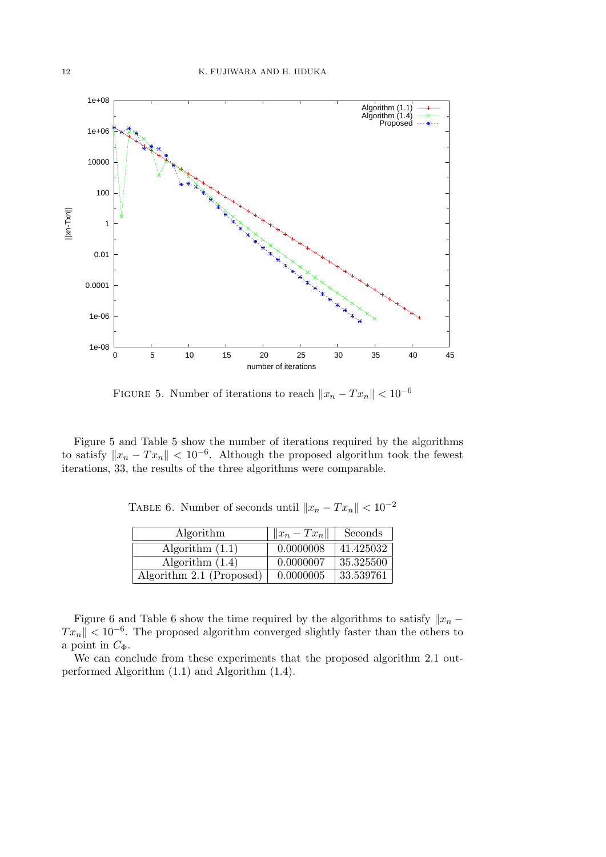

FIGURE 5. Number of iterations to reach  $||x_n - Tx_n|| < 10^{-6}$ 

Figure 5 and Table 5 show the number of iterations required by the algorithms to satisfy  $||x_n - Tx_n|| < 10^{-6}$ . Although the proposed algorithm took the fewest iterations, 33, the results of the three algorithms were comparable.

TABLE 6. Number of seconds until  $||x_n - Tx_n|| < 10^{-2}$ 

| Algorithm                | $  x_n-Tx_n  $ | Seconds   |
|--------------------------|----------------|-----------|
| Algorithm $(1.1)$        | 0.0000008      | 41.425032 |
| Algorithm $(1.4)$        | 0.0000007      | 35.325500 |
| Algorithm 2.1 (Proposed) | 0.0000005      | 33.539761 |

Figure 6 and Table 6 show the time required by the algorithms to satisfy  $||x_n -$ *Tx<sub>n</sub>* $||$  < 10<sup>−6</sup>. The proposed algorithm converged slightly faster than the others to a point in  $C_{\Phi}$ .

We can conclude from these experiments that the proposed algorithm 2.1 outperformed Algorithm (1.1) and Algorithm (1.4).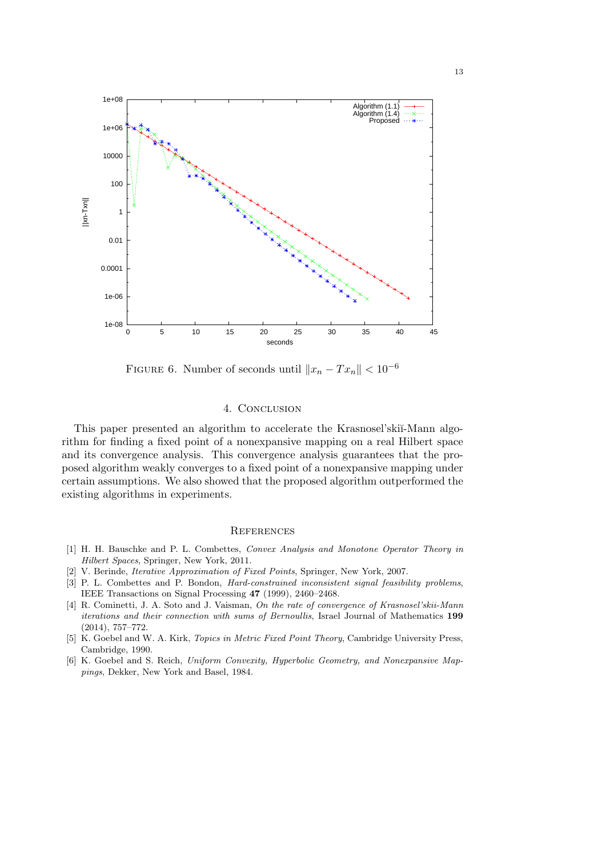

FIGURE 6. Number of seconds until  $||x_n - Tx_n|| < 10^{-6}$ 

## 4. CONCLUSION

This paper presented an algorithm to accelerate the Krasnosel'skii-Mann algorithm for finding a fixed point of a nonexpansive mapping on a real Hilbert space and its convergence analysis. This convergence analysis guarantees that the proposed algorithm weakly converges to a fixed point of a nonexpansive mapping under certain assumptions. We also showed that the proposed algorithm outperformed the existing algorithms in experiments.

#### **REFERENCES**

- [1] H. H. Bauschke and P. L. Combettes, *Convex Analysis and Monotone Operator Theory in Hilbert Spaces*, Springer, New York, 2011.
- [2] V. Berinde, *Iterative Approximation of Fixed Points*, Springer, New York, 2007.
- [3] P. L. Combettes and P. Bondon, *Hard-constrained inconsistent signal feasibility problems*, IEEE Transactions on Signal Processing **47** (1999), 2460–2468.
- [4] R. Cominetti, J. A. Soto and J. Vaisman, *On the rate of convergence of Krasnosel'skii-Mann iterations and their connection with sums of Bernoullis*, Israel Journal of Mathematics **199** (2014), 757–772.
- [5] K. Goebel and W. A. Kirk, *Topics in Metric Fixed Point Theory*, Cambridge University Press, Cambridge, 1990.
- [6] K. Goebel and S. Reich, *Uniform Convexity, Hyperbolic Geometry, and Nonexpansive Mappings*, Dekker, New York and Basel, 1984.